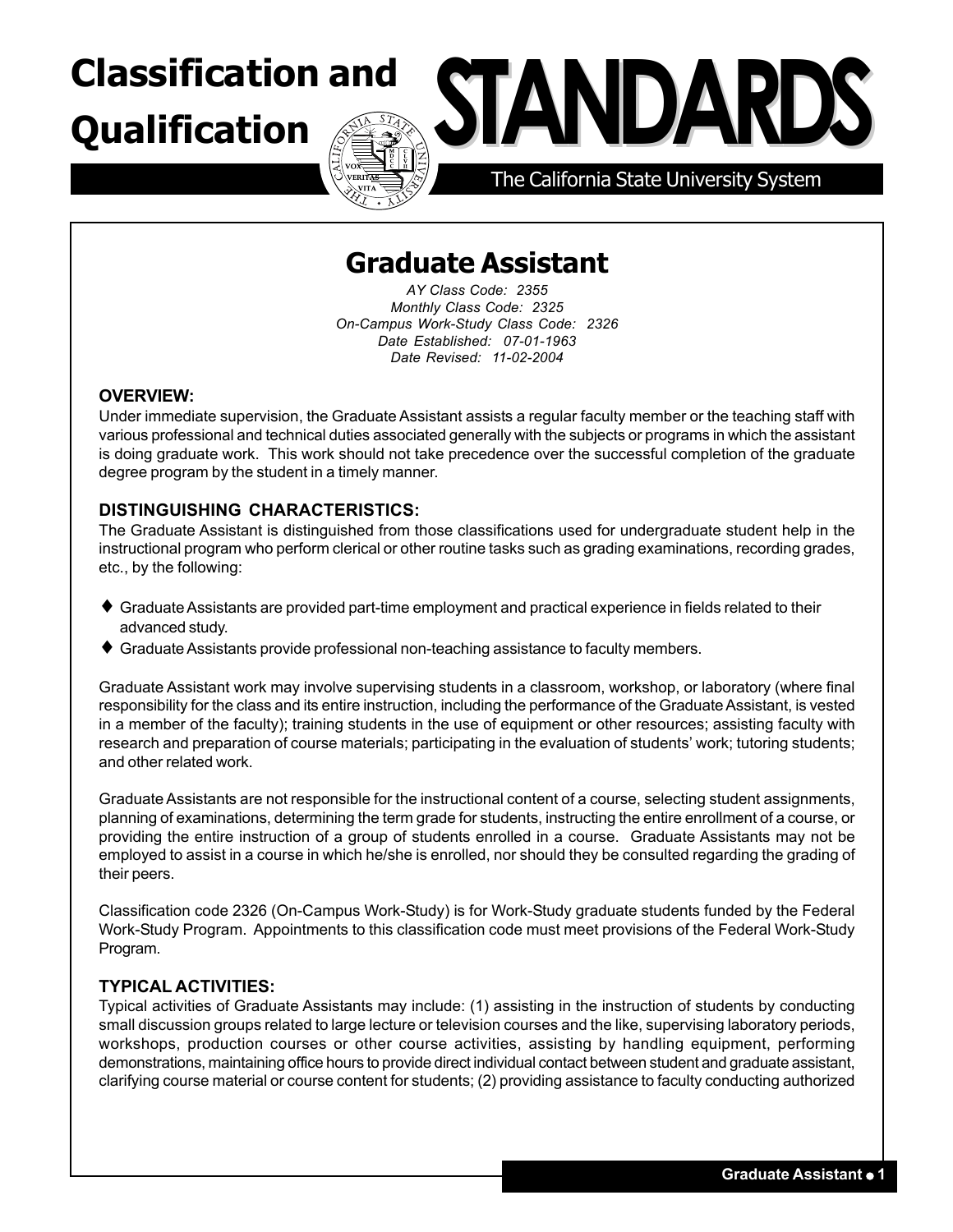## **Qualification**

# **Classification and STANDARD**

The California State University System

### **Graduate Assistant**

*AY Class Code: 2355 Monthly Class Code: 2325 On-Campus Work-Study Class Code: 2326 Date Established: 07-01-1963 Date Revised: 11-02-2004*

#### **OVERVIEW:**

Under immediate supervision, the Graduate Assistant assists a regular faculty member or the teaching staff with various professional and technical duties associated generally with the subjects or programs in which the assistant is doing graduate work. This work should not take precedence over the successful completion of the graduate degree program by the student in a timely manner.

#### **DISTINGUISHING CHARACTERISTICS:**

The Graduate Assistant is distinguished from those classifications used for undergraduate student help in the instructional program who perform clerical or other routine tasks such as grading examinations, recording grades, etc., by the following:

- ♦ Graduate Assistants are provided part-time employment and practical experience in fields related to their advanced study.
- ♦ Graduate Assistants provide professional non-teaching assistance to faculty members.

Graduate Assistant work may involve supervising students in a classroom, workshop, or laboratory (where final responsibility for the class and its entire instruction, including the performance of the Graduate Assistant, is vested in a member of the faculty); training students in the use of equipment or other resources; assisting faculty with research and preparation of course materials; participating in the evaluation of students' work; tutoring students; and other related work.

Graduate Assistants are not responsible for the instructional content of a course, selecting student assignments, planning of examinations, determining the term grade for students, instructing the entire enrollment of a course, or providing the entire instruction of a group of students enrolled in a course. Graduate Assistants may not be employed to assist in a course in which he/she is enrolled, nor should they be consulted regarding the grading of their peers.

Classification code 2326 (On-Campus Work-Study) is for Work-Study graduate students funded by the Federal Work-Study Program. Appointments to this classification code must meet provisions of the Federal Work-Study Program.

#### **TYPICAL ACTIVITIES:**

Typical activities of Graduate Assistants may include: (1) assisting in the instruction of students by conducting small discussion groups related to large lecture or television courses and the like, supervising laboratory periods, workshops, production courses or other course activities, assisting by handling equipment, performing demonstrations, maintaining office hours to provide direct individual contact between student and graduate assistant, clarifying course material or course content for students; (2) providing assistance to faculty conducting authorized